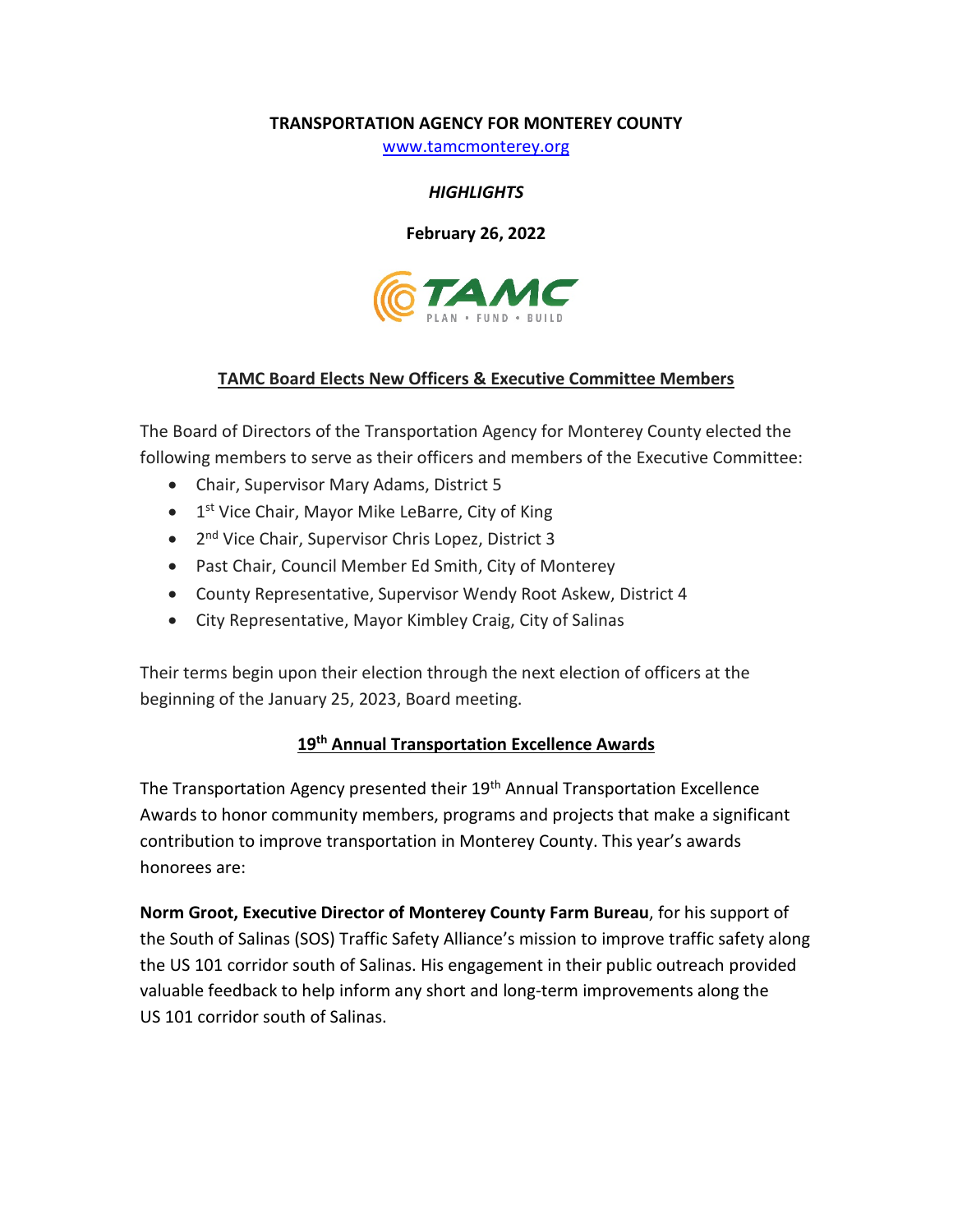### **TRANSPORTATION AGENCY FOR MONTEREY COUNTY**

[www.tamcmonterey.org](http://www.tamcmonterey.org/)

### *HIGHLIGHTS*

**February 26, 2022**



## **TAMC Board Elects New Officers & Executive Committee Members**

The Board of Directors of the Transportation Agency for Monterey County elected the following members to serve as their officers and members of the Executive Committee:

- Chair, Supervisor Mary Adams, District 5
- $\bullet$  1<sup>st</sup> Vice Chair, Mayor Mike LeBarre, City of King
- 2<sup>nd</sup> Vice Chair, Supervisor Chris Lopez, District 3
- Past Chair, Council Member Ed Smith, City of Monterey
- County Representative, Supervisor Wendy Root Askew, District 4
- City Representative, Mayor Kimbley Craig, City of Salinas

Their terms begin upon their election through the next election of officers at the beginning of the January 25, 2023, Board meeting.

# **19th Annual Transportation Excellence Awards**

The Transportation Agency presented their 19<sup>th</sup> Annual Transportation Excellence Awards to honor community members, programs and projects that make a significant contribution to improve transportation in Monterey County. This year's awards honorees are:

**Norm Groot, Executive Director of Monterey County Farm Bureau**, for his support of the South of Salinas (SOS) Traffic Safety Alliance's mission to improve traffic safety along the US 101 corridor south of Salinas. His engagement in their public outreach provided valuable feedback to help inform any short and long-term improvements along the US 101 corridor south of Salinas.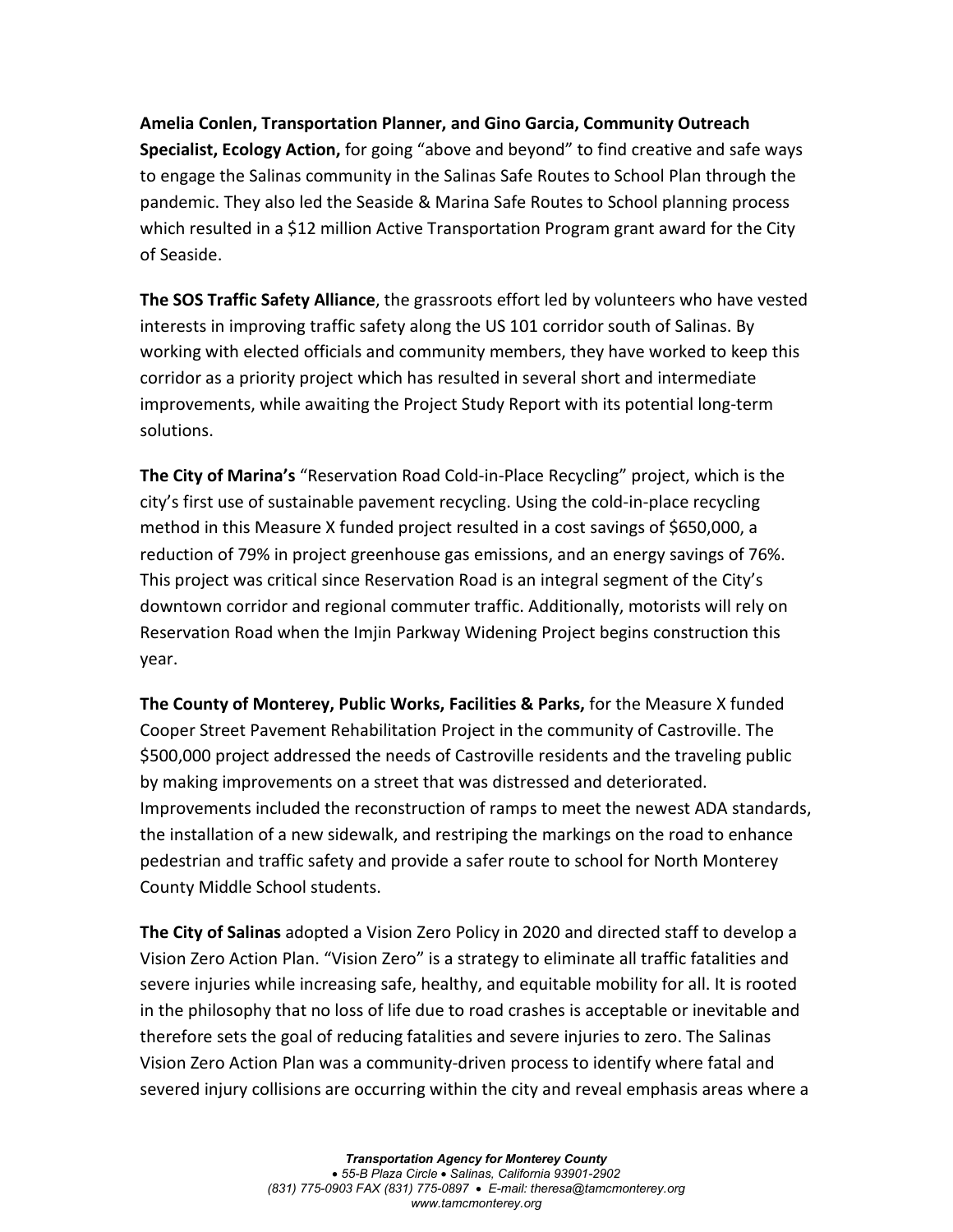**Amelia Conlen, Transportation Planner, and Gino Garcia, Community Outreach Specialist, Ecology Action,** for going "above and beyond" to find creative and safe ways to engage the Salinas community in the Salinas Safe Routes to School Plan through the pandemic. They also led the Seaside & Marina Safe Routes to School planning process which resulted in a \$12 million Active Transportation Program grant award for the City of Seaside.

**The SOS Traffic Safety Alliance**, the grassroots effort led by volunteers who have vested interests in improving traffic safety along the US 101 corridor south of Salinas. By working with elected officials and community members, they have worked to keep this corridor as a priority project which has resulted in several short and intermediate improvements, while awaiting the Project Study Report with its potential long-term solutions.

**The City of Marina's** "Reservation Road Cold-in-Place Recycling" project, which is the city's first use of sustainable pavement recycling. Using the cold-in-place recycling method in this Measure X funded project resulted in a cost savings of \$650,000, a reduction of 79% in project greenhouse gas emissions, and an energy savings of 76%. This project was critical since Reservation Road is an integral segment of the City's downtown corridor and regional commuter traffic. Additionally, motorists will rely on Reservation Road when the Imjin Parkway Widening Project begins construction this year.

**The County of Monterey, Public Works, Facilities & Parks,** for the Measure X funded Cooper Street Pavement Rehabilitation Project in the community of Castroville. The \$500,000 project addressed the needs of Castroville residents and the traveling public by making improvements on a street that was distressed and deteriorated. Improvements included the reconstruction of ramps to meet the newest ADA standards, the installation of a new sidewalk, and restriping the markings on the road to enhance pedestrian and traffic safety and provide a safer route to school for North Monterey County Middle School students.

**The City of Salinas** adopted a Vision Zero Policy in 2020 and directed staff to develop a Vision Zero Action Plan. "Vision Zero" is a strategy to eliminate all traffic fatalities and severe injuries while increasing safe, healthy, and equitable mobility for all. It is rooted in the philosophy that no loss of life due to road crashes is acceptable or inevitable and therefore sets the goal of reducing fatalities and severe injuries to zero. The Salinas Vision Zero Action Plan was a community-driven process to identify where fatal and severed injury collisions are occurring within the city and reveal emphasis areas where a

> *Transportation Agency for Monterey County* • *55-B Plaza Circle* • *Salinas, California 93901-2902 (831) 775-0903 FAX (831) 775-0897* • *E-mail: theresa@tamcmonterey.org www.tamcmonterey.org*